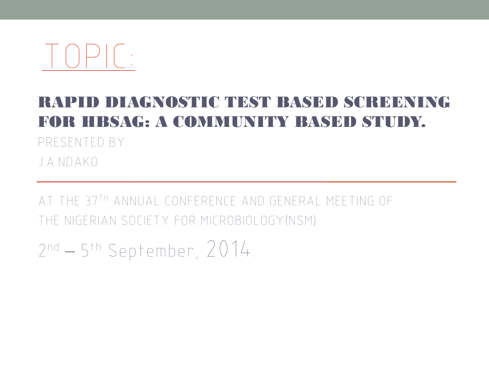

### RAPID DIAGNOSTIC TEST BASED SCREENING FOR HBSAG: A COMMUNITY BASED STUDY.

PRESENTED BY:

J.A.NDAKO

AT THE 37TH ANNUAL CONFERENCE AND GENERAL MEETING OF THE NIGERIAN SOCIETY FOR MICROBIOLOGY(NSM).

2 nd – 5 th September, 2014.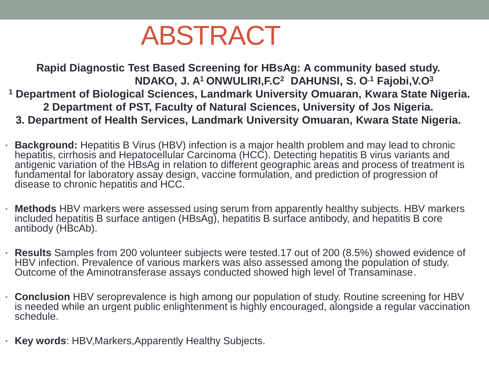### ABSTRACT

**Rapid Diagnostic Test Based Screening for HBsAg: A community based study. NDAKO, J. A<sup>1</sup>ONWULIRI,F.C<sup>2</sup>DAHUNSI, S. O.1 Fajobi,V.O<sup>3</sup> <sup>1</sup> Department of Biological Sciences, Landmark University Omuaran, Kwara State Nigeria. 2 Department of PST, Faculty of Natural Sciences, University of Jos Nigeria. 3. Department of Health Services, Landmark University Omuaran, Kwara State Nigeria.**

- **Background:** Hepatitis B Virus (HBV) infection is a major health problem and may lead to chronic hepatitis, cirrhosis and Hepatocellular Carcinoma (HCC). Detecting hepatitis B virus variants and antigenic variation of the HBsAg in relation to different geographic areas and process of treatment is fundamental for laboratory assay design, vaccine formulation, and prediction of progression of disease to chronic hepatitis and HCC.
- **Methods** HBV markers were assessed using serum from apparently healthy subjects. HBV markers included hepatitis B surface antigen (HBsAg), hepatitis B surface antibody, and hepatitis B core antibody (HBcAb).
- **Results** Samples from 200 volunteer subjects were tested.17 out of 200 (8.5%) showed evidence of HBV infection. Prevalence of various markers was also assessed among the population of study. Outcome of the Aminotransferase assays conducted showed high level of Transaminase.
- **Conclusion** HBV seroprevalence is high among our population of study. Routine screening for HBV is needed while an urgent public enlightenment is highly encouraged, alongside a regular vaccination schedule.
- **Key words**: HBV,Markers,Apparently Healthy Subjects.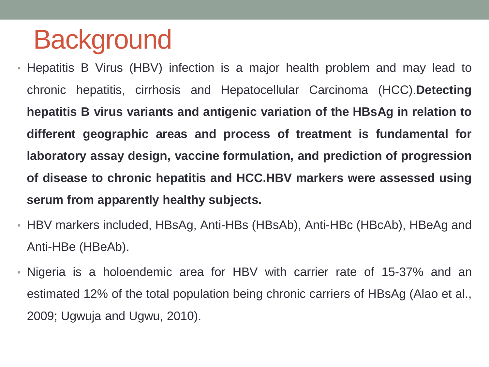### **Background**

- Hepatitis B Virus (HBV) infection is a major health problem and may lead to chronic hepatitis, cirrhosis and Hepatocellular Carcinoma (HCC).**Detecting hepatitis B virus variants and antigenic variation of the HBsAg in relation to different geographic areas and process of treatment is fundamental for laboratory assay design, vaccine formulation, and prediction of progression of disease to chronic hepatitis and HCC.HBV markers were assessed using serum from apparently healthy subjects.**
- HBV markers included, HBsAg, Anti-HBs (HBsAb), Anti-HBc (HBcAb), HBeAg and Anti-HBe (HBeAb).
- Nigeria is a holoendemic area for HBV with carrier rate of 15-37% and an estimated 12% of the total population being chronic carriers of HBsAg (Alao et al., 2009; Ugwuja and Ugwu, 2010).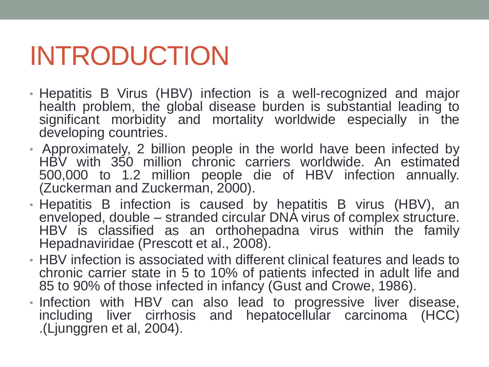# INTRODUCTION

- Hepatitis B Virus (HBV) infection is a well-recognized and major health problem, the global disease burden is substantial leading to significant morbidity and mortality worldwide especially in the developing countries.
- Approximately, 2 billion people in the world have been infected by HBV with 350 million chronic carriers worldwide. An estimated 500,000 to 1.2 million people die of HBV infection annually. (Zuckerman and Zuckerman, 2000).
- Hepatitis B infection is caused by hepatitis B virus (HBV), an enveloped, double – stranded circular DNA virus of complex structure. HBV is classified as an orthohepadna virus within the family Hepadnaviridae (Prescott et al., 2008).
- HBV infection is associated with different clinical features and leads to chronic carrier state in 5 to 10% of patients infected in adult life and 85 to 90% of those infected in infancy (Gust and Crowe, 1986).
- Infection with HBV can also lead to progressive liver disease, including liver cirrhosis and hepatocellular carcinoma (HCC) .(Ljunggren et al, 2004).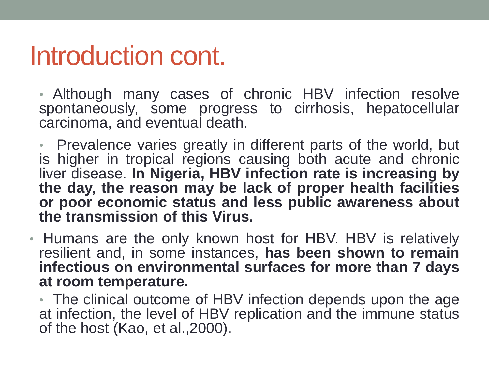### Introduction cont.

• Although many cases of chronic HBV infection resolve spontaneously, some progress to cirrhosis, hepatocellular carcinoma, and eventual death.

• Prevalence varies greatly in different parts of the world, but is higher in tropical regions causing both acute and chronic liver disease. **In Nigeria, HBV infection rate is increasing by the day, the reason may be lack of proper health facilities or poor economic status and less public awareness about the transmission of this Virus.**

• Humans are the only known host for HBV. HBV is relatively resilient and, in some instances, **has been shown to remain infectious on environmental surfaces for more than 7 days at room temperature.**

• The clinical outcome of HBV infection depends upon the age at infection, the level of HBV replication and the immune status of the host (Kao, et al.,2000).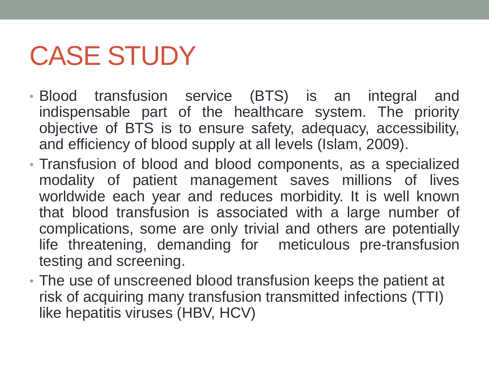# CASE STUDY

- Blood transfusion service (BTS) is an integral and indispensable part of the healthcare system. The priority objective of BTS is to ensure safety, adequacy, accessibility, and efficiency of blood supply at all levels (Islam, 2009).
- Transfusion of blood and blood components, as a specialized modality of patient management saves millions of lives worldwide each year and reduces morbidity. It is well known that blood transfusion is associated with a large number of complications, some are only trivial and others are potentially life threatening, demanding for meticulous pre-transfusion testing and screening.
- The use of unscreened blood transfusion keeps the patient at risk of acquiring many transfusion transmitted infections (TTI) like hepatitis viruses (HBV, HCV)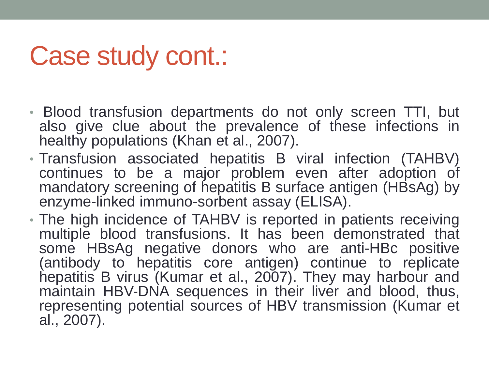### Case study cont.:

- Blood transfusion departments do not only screen TTI, but also give clue about the prevalence of these infections in healthy populations (Khan et al., 2007).
- Transfusion associated hepatitis B viral infection (TAHBV) continues to be a major problem even after adoption of mandatory screening of hepatitis B surface antigen (HBsAg) by enzyme-linked immuno-sorbent assay (ELISA).
- The high incidence of TAHBV is reported in patients receiving multiple blood transfusions. It has been demonstrated that some HBsAg negative donors who are anti-HBc positive (antibody to hepatitis core antigen) continue to replicate hepatitis B virus (Kumar et al., 2007). They may harbour and maintain HBV-DNA sequences in their liver and blood, thus, representing potential sources of HBV transmission (Kumar et al., 2007).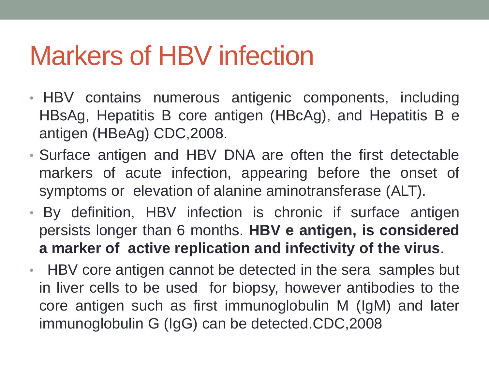### Markers of HBV infection

- HBV contains numerous antigenic components, including HBsAg, Hepatitis B core antigen (HBcAg), and Hepatitis B e antigen (HBeAg) CDC,2008.
- Surface antigen and HBV DNA are often the first detectable markers of acute infection, appearing before the onset of symptoms or elevation of alanine aminotransferase (ALT).
- By definition, HBV infection is chronic if surface antigen persists longer than 6 months. **HBV e antigen, is considered a marker of active replication and infectivity of the virus**.
- HBV core antigen cannot be detected in the sera samples but in liver cells to be used for biopsy, however antibodies to the core antigen such as first immunoglobulin M (IgM) and later immunoglobulin G (IgG) can be detected.CDC,2008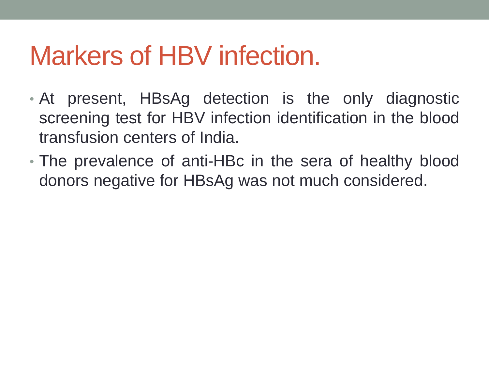### Markers of HBV infection.

- At present, HBsAg detection is the only diagnostic screening test for HBV infection identification in the blood transfusion centers of India.
- The prevalence of anti-HBc in the sera of healthy blood donors negative for HBsAg was not much considered.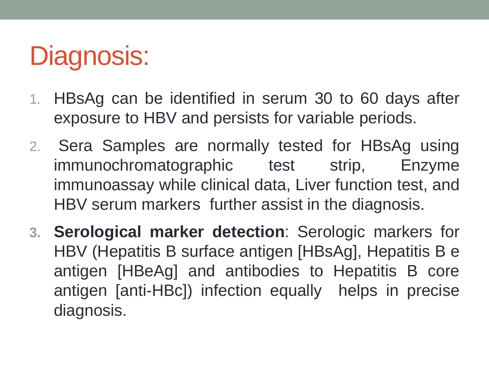# Diagnosis:

- 1. HBsAg can be identified in serum 30 to 60 days after exposure to HBV and persists for variable periods.
- 2. Sera Samples are normally tested for HBsAg using immunochromatographic test strip, Enzyme immunoassay while clinical data, Liver function test, and HBV serum markers further assist in the diagnosis.
- **3. Serological marker detection**: Serologic markers for HBV (Hepatitis B surface antigen [HBsAg], Hepatitis B e antigen [HBeAg] and antibodies to Hepatitis B core antigen [anti-HBc]) infection equally helps in precise diagnosis.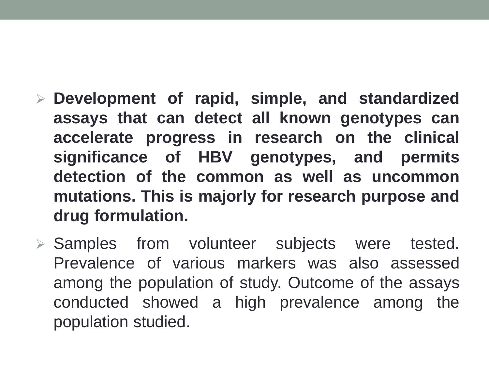- **Development of rapid, simple, and standardized assays that can detect all known genotypes can accelerate progress in research on the clinical significance of HBV genotypes, and permits detection of the common as well as uncommon mutations. This is majorly for research purpose and drug formulation.**
- $\triangleright$  Samples from volunteer subjects were tested. Prevalence of various markers was also assessed among the population of study. Outcome of the assays conducted showed a high prevalence among the population studied.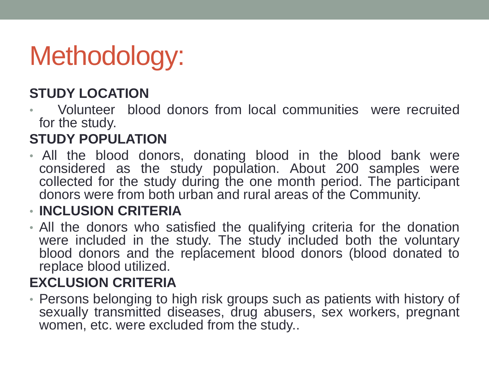# Methodology:

#### **STUDY LOCATION**

• Volunteer blood donors from local communities were recruited for the study.

#### **STUDY POPULATION**

• All the blood donors, donating blood in the blood bank were considered as the study population. About 200 samples were collected for the study during the one month period. The participant donors were from both urban and rural areas of the Community.

#### • **INCLUSION CRITERIA**

• All the donors who satisfied the qualifying criteria for the donation were included in the study. The study included both the voluntary blood donors and the replacement blood donors (blood donated to replace blood utilized.

#### **EXCLUSION CRITERIA**

• Persons belonging to high risk groups such as patients with history of sexually transmitted diseases, drug abusers, sex workers, pregnant women, etc. were excluded from the study..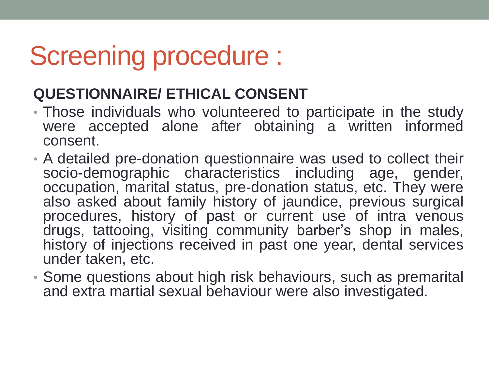### Screening procedure :

#### **QUESTIONNAIRE/ ETHICAL CONSENT**

- Those individuals who volunteered to participate in the study were accepted alone after obtaining a written informed consent.
- A detailed pre-donation questionnaire was used to collect their socio-demographic characteristics including age, gender, occupation, marital status, pre-donation status, etc. They were also asked about family history of jaundice, previous surgical procedures, history of past or current use of intra venous drugs, tattooing, visiting community barber's shop in males, history of injections received in past one year, dental services under taken, etc.
- Some questions about high risk behaviours, such as premarital and extra martial sexual behaviour were also investigated.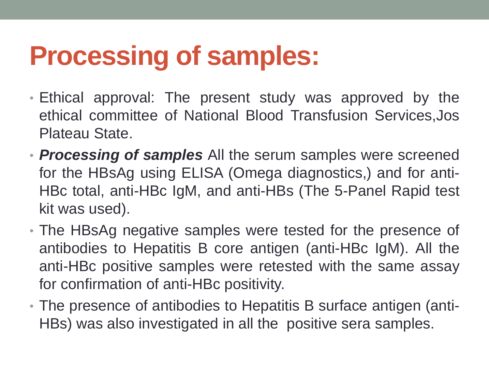# **Processing of samples:**

- Ethical approval: The present study was approved by the ethical committee of National Blood Transfusion Services,Jos Plateau State.
- *Processing of samples* All the serum samples were screened for the HBsAg using ELISA (Omega diagnostics,) and for anti-HBc total, anti-HBc IgM, and anti-HBs (The 5-Panel Rapid test kit was used).
- The HBsAg negative samples were tested for the presence of antibodies to Hepatitis B core antigen (anti-HBc IgM). All the anti-HBc positive samples were retested with the same assay for confirmation of anti-HBc positivity.
- The presence of antibodies to Hepatitis B surface antigen (anti-HBs) was also investigated in all the positive sera samples.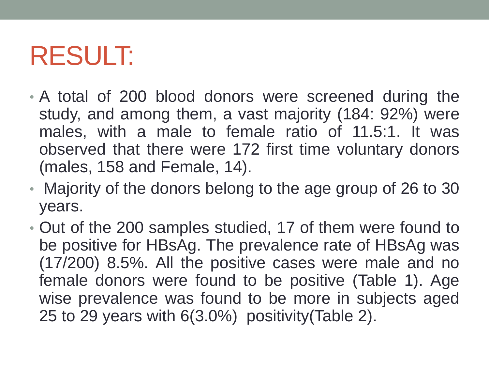### RESULT:

- A total of 200 blood donors were screened during the study, and among them, a vast majority (184: 92%) were males, with a male to female ratio of 11.5:1. It was observed that there were 172 first time voluntary donors (males, 158 and Female, 14).
- Majority of the donors belong to the age group of 26 to 30 years.
- Out of the 200 samples studied, 17 of them were found to be positive for HBsAg. The prevalence rate of HBsAg was (17/200) 8.5%. All the positive cases were male and no female donors were found to be positive (Table 1). Age wise prevalence was found to be more in subjects aged 25 to 29 years with 6(3.0%) positivity(Table 2).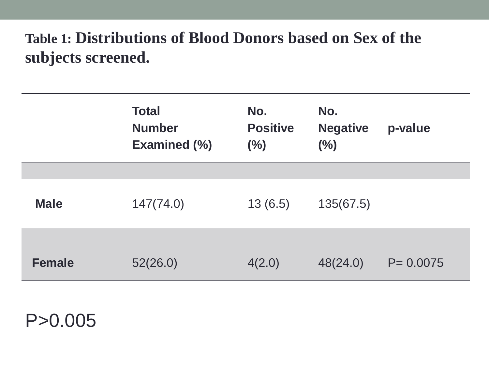### **Table 1: Distributions of Blood Donors based on Sex of the subjects screened.**

|             | <b>Total</b><br><b>Number</b><br><b>Examined (%)</b> | No.<br><b>Positive</b><br>(%) | No.<br><b>Negative</b><br>(%) | p-value      |
|-------------|------------------------------------------------------|-------------------------------|-------------------------------|--------------|
|             |                                                      |                               |                               |              |
| <b>Male</b> | 147(74.0)                                            | 13(6.5)                       | 135(67.5)                     |              |
| Female      | 52(26.0)                                             | 4(2.0)                        | 48(24.0)                      | $P = 0.0075$ |

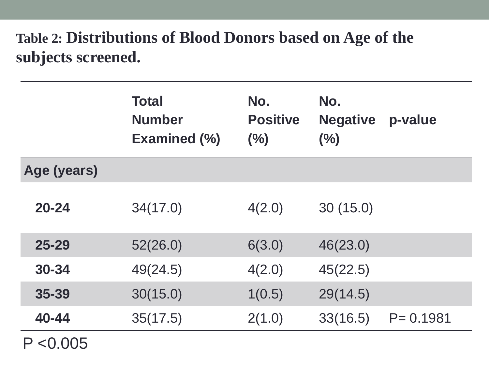### **Table 2: Distributions of Blood Donors based on Age of the subjects screened.**

|             | <b>Total</b><br><b>Number</b><br><b>Examined (%)</b> | No.<br><b>Positive</b><br>(%) | No.<br><b>Negative</b><br>(%) | p-value      |
|-------------|------------------------------------------------------|-------------------------------|-------------------------------|--------------|
| Age (years) |                                                      |                               |                               |              |
| $20 - 24$   | 34(17.0)                                             | 4(2.0)                        | 30(15.0)                      |              |
| $25 - 29$   | 52(26.0)                                             | 6(3.0)                        | 46(23.0)                      |              |
| 30-34       | 49(24.5)                                             | 4(2.0)                        | 45(22.5)                      |              |
| 35-39       | 30(15.0)                                             | 1(0.5)                        | 29(14.5)                      |              |
| 40-44       | 35(17.5)                                             | 2(1.0)                        | 33(16.5)                      | $P = 0.1981$ |
| P < 0.005   |                                                      |                               |                               |              |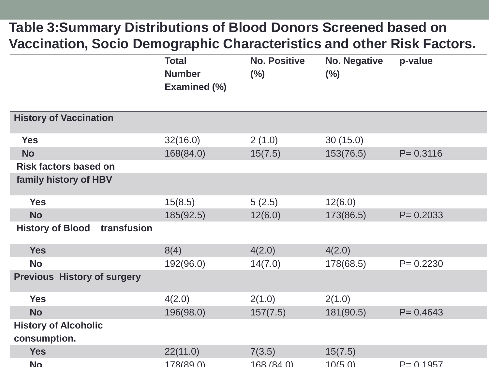#### **Table 3:Summary Distributions of Blood Donors Screened based on Vaccination, Socio Demographic Characteristics and other Risk Factors.**

|                                             | <b>Total</b><br><b>Number</b><br>Examined (%) | <b>No. Positive</b><br>$(\%)$ | <b>No. Negative</b><br>$(\%)$ | p-value      |
|---------------------------------------------|-----------------------------------------------|-------------------------------|-------------------------------|--------------|
| <b>History of Vaccination</b>               |                                               |                               |                               |              |
| <b>Yes</b>                                  | 32(16.0)                                      | 2(1.0)                        | 30(15.0)                      |              |
| <b>No</b>                                   | 168(84.0)                                     | 15(7.5)                       | 153(76.5)                     | $P = 0.3116$ |
| <b>Risk factors based on</b>                |                                               |                               |                               |              |
| family history of HBV                       |                                               |                               |                               |              |
| <b>Yes</b>                                  | 15(8.5)                                       | 5(2.5)                        | 12(6.0)                       |              |
| <b>No</b>                                   | 185(92.5)                                     | 12(6.0)                       | 173(86.5)                     | $P = 0.2033$ |
| <b>History of Blood</b><br>transfusion      |                                               |                               |                               |              |
| <b>Yes</b>                                  | 8(4)                                          | 4(2.0)                        | 4(2.0)                        |              |
| <b>No</b>                                   | 192(96.0)                                     | 14(7.0)                       | 178(68.5)                     | $P = 0.2230$ |
| <b>Previous History of surgery</b>          |                                               |                               |                               |              |
| <b>Yes</b>                                  | 4(2.0)                                        | 2(1.0)                        | 2(1.0)                        |              |
| <b>No</b>                                   | 196(98.0)                                     | 157(7.5)                      | 181(90.5)                     | $P = 0.4643$ |
| <b>History of Alcoholic</b><br>consumption. |                                               |                               |                               |              |
| <b>Yes</b>                                  | 22(11.0)                                      | 7(3.5)                        | 15(7.5)                       |              |
| <b>No</b>                                   | 178(890)                                      | 168(840)                      | 10(50)                        | $P = 0.1957$ |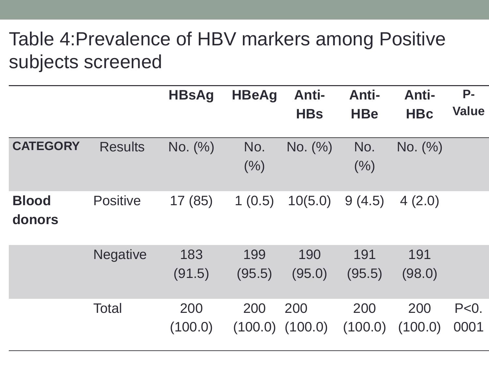### Table 4:Prevalence of HBV markers among Positive subjects screened

|                        |                 | <b>HBsAg</b>   | <b>HBeAg</b>   | <b>Anti-</b><br><b>HBs</b> | <b>Anti-</b><br><b>HBe</b> | <b>Anti-</b><br><b>HBc</b> | <b>P-</b><br><b>Value</b> |
|------------------------|-----------------|----------------|----------------|----------------------------|----------------------------|----------------------------|---------------------------|
| <b>CATEGORY</b>        | <b>Results</b>  | No. (%)        | No.<br>(% )    | No. (%)                    | No.<br>(%)                 | No. (%)                    |                           |
| <b>Blood</b><br>donors | <b>Positive</b> | 17(85)         | 1(0.5)         | 10(5.0)                    | 9(4.5)                     | 4(2.0)                     |                           |
|                        | <b>Negative</b> | 183<br>(91.5)  | 199<br>(95.5)  | 190<br>(95.0)              | 191<br>(95.5)              | 191<br>(98.0)              |                           |
|                        | <b>Total</b>    | 200<br>(100.0) | 200<br>(100.0) | 200<br>(100.0)             | 200<br>(100.0)             | 200<br>(100.0)             | $P<0$ .<br>0001           |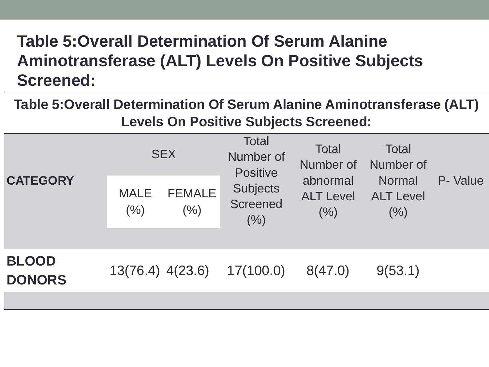### **Table 5:Overall Determination Of Serum Alanine Aminotransferase (ALT) Levels On Positive Subjects Screened:**

**Table 5:Overall Determination Of Serum Alanine Aminotransferase (ALT) Levels On Positive Subjects Screened:**

| <b>CATEGORY</b>               | <b>MALE</b><br>(% ) | <b>SEX</b><br><b>FEMALE</b><br>(%) | <b>Total</b><br>Number of<br><b>Positive</b><br><b>Subjects</b><br>Screened<br>(% ) | Total<br>Number of<br>abnormal<br><b>ALT Level</b><br>(% ) | <b>Total</b><br>Number of<br><b>Normal</b><br><b>ALT Level</b><br>(% ) | P- Value |
|-------------------------------|---------------------|------------------------------------|-------------------------------------------------------------------------------------|------------------------------------------------------------|------------------------------------------------------------------------|----------|
|                               |                     |                                    |                                                                                     |                                                            |                                                                        |          |
| <b>BLOOD</b><br><b>DONORS</b> |                     |                                    | 13(76.4) 4(23.6) 17(100.0)                                                          | 8(47.0)                                                    | 9(53.1)                                                                |          |
|                               |                     |                                    |                                                                                     |                                                            |                                                                        |          |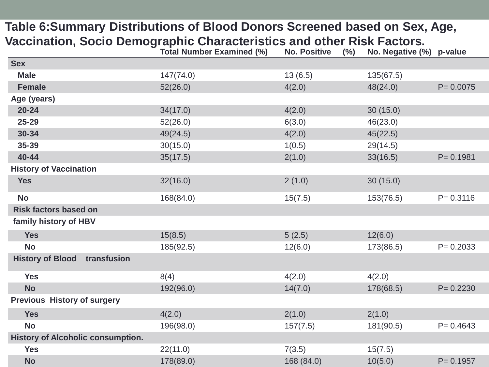#### **Table 6:Summary Distributions of Blood Donors Screened based on Sex, Age, Vaccination, Socio Demographic Characteristics and other Risk Factors.**

| <u>racomation, ocolo Bonnegraphile onlaractoriotice and other</u> | <b>Total Number Examined (%)</b> | <b>No. Positive</b><br>(%) | THUR LAULUIUI<br>No. Negative (%) p-value |              |
|-------------------------------------------------------------------|----------------------------------|----------------------------|-------------------------------------------|--------------|
| <b>Sex</b>                                                        |                                  |                            |                                           |              |
| <b>Male</b>                                                       | 147(74.0)                        | 13(6.5)                    | 135(67.5)                                 |              |
| <b>Female</b>                                                     | 52(26.0)                         | 4(2.0)                     | 48(24.0)                                  | $P = 0.0075$ |
| Age (years)                                                       |                                  |                            |                                           |              |
| $20 - 24$                                                         | 34(17.0)                         | 4(2.0)                     | 30(15.0)                                  |              |
| $25 - 29$                                                         | 52(26.0)                         | 6(3.0)                     | 46(23.0)                                  |              |
| $30 - 34$                                                         | 49(24.5)                         | 4(2.0)                     | 45(22.5)                                  |              |
| 35-39                                                             | 30(15.0)                         | 1(0.5)                     | 29(14.5)                                  |              |
| 40-44                                                             | 35(17.5)                         | 2(1.0)                     | 33(16.5)                                  | $P = 0.1981$ |
| <b>History of Vaccination</b>                                     |                                  |                            |                                           |              |
| <b>Yes</b>                                                        | 32(16.0)                         | 2(1.0)                     | 30(15.0)                                  |              |
| <b>No</b>                                                         | 168(84.0)                        | 15(7.5)                    | 153(76.5)                                 | $P = 0.3116$ |
| <b>Risk factors based on</b>                                      |                                  |                            |                                           |              |
| family history of HBV                                             |                                  |                            |                                           |              |
| <b>Yes</b>                                                        | 15(8.5)                          | 5(2.5)                     | 12(6.0)                                   |              |
| <b>No</b>                                                         | 185(92.5)                        | 12(6.0)                    | 173(86.5)                                 | $P = 0.2033$ |
| <b>History of Blood transfusion</b>                               |                                  |                            |                                           |              |
| <b>Yes</b>                                                        | 8(4)                             | 4(2.0)                     | 4(2.0)                                    |              |
| <b>No</b>                                                         | 192(96.0)                        | 14(7.0)                    | 178(68.5)                                 | $P = 0.2230$ |
| <b>Previous History of surgery</b>                                |                                  |                            |                                           |              |
| <b>Yes</b>                                                        | 4(2.0)                           | 2(1.0)                     | 2(1.0)                                    |              |
| <b>No</b>                                                         | 196(98.0)                        | 157(7.5)                   | 181(90.5)                                 | $P = 0.4643$ |
| <b>History of Alcoholic consumption.</b>                          |                                  |                            |                                           |              |
| <b>Yes</b>                                                        | 22(11.0)                         | 7(3.5)                     | 15(7.5)                                   |              |
| <b>No</b>                                                         | 178(89.0)                        | 168 (84.0)                 | 10(5.0)                                   | $P = 0.1957$ |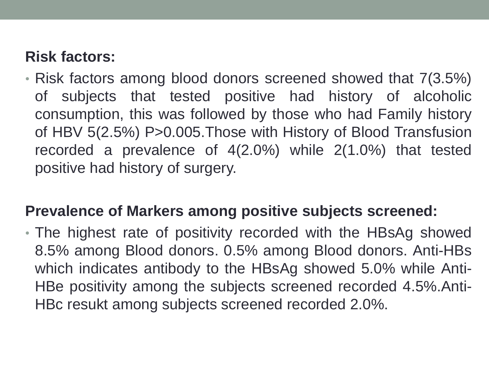#### **Risk factors:**

• Risk factors among blood donors screened showed that 7(3.5%) of subjects that tested positive had history of alcoholic consumption, this was followed by those who had Family history of HBV 5(2.5%) P>0.005.Those with History of Blood Transfusion recorded a prevalence of 4(2.0%) while 2(1.0%) that tested positive had history of surgery.

#### **Prevalence of Markers among positive subjects screened:**

• The highest rate of positivity recorded with the HBsAg showed 8.5% among Blood donors. 0.5% among Blood donors. Anti-HBs which indicates antibody to the HBsAg showed 5.0% while Anti-HBe positivity among the subjects screened recorded 4.5%.Anti-HBc resukt among subjects screened recorded 2.0%.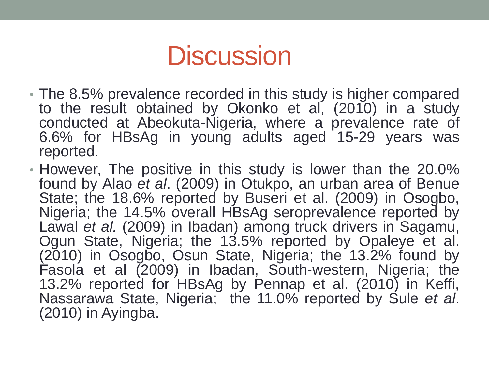### **Discussion**

- The 8.5% prevalence recorded in this study is higher compared to the result obtained by Okonko et al, (2010) in a study conducted at Abeokuta-Nigeria, where a prevalence rate of 6.6% for HBsAg in young adults aged 15-29 years was reported.
- However, The positive in this study is lower than the 20.0% found by Alao *et al*. (2009) in Otukpo, an urban area of Benue State; the 18.6% reported by Buseri et al. (2009) in Osogbo, Nigeria; the 14.5% overall HBsAg seroprevalence reported by Lawal *et al.* (2009) in Ibadan) among truck drivers in Sagamu, Ogun State, Nigeria; the 13.5% reported by Opaleye et al. (2010) in Osogbo, Osun State, Nigeria; the 13.2% found by Fasola et al (2009) in Ibadan, South-western, Nigeria; the 13.2% reported for HBsAg by Pennap et al. (2010) in Keffi, Nassarawa State, Nigeria; the 11.0% reported by Sule *et al*. (2010) in Ayingba.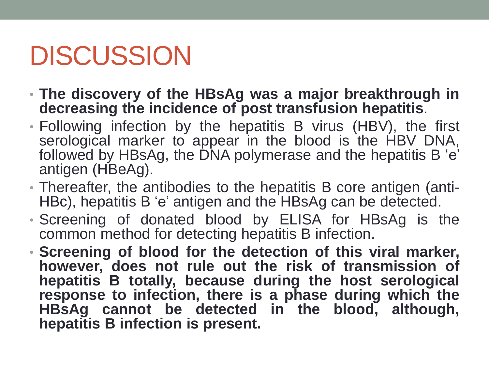## DISCUSSION

- **The discovery of the HBsAg was a major breakthrough in decreasing the incidence of post transfusion hepatitis**.
- Following infection by the hepatitis B virus (HBV), the first serological marker to appear in the blood is the HBV DNA, followed by HBsAg, the DNA polymerase and the hepatitis B 'e' antigen (HBeAg).
- Thereafter, the antibodies to the hepatitis B core antigen (anti-HBc), hepatitis B 'e' antigen and the HBsAg can be detected.
- Screening of donated blood by ELISA for HBsAg is the common method for detecting hepatitis B infection.
- **Screening of blood for the detection of this viral marker, however, does not rule out the risk of transmission of hepatitis B totally, because during the host serological response to infection, there is a phase during which the HBsAg cannot be detected in the blood, although, hepatitis B infection is present.**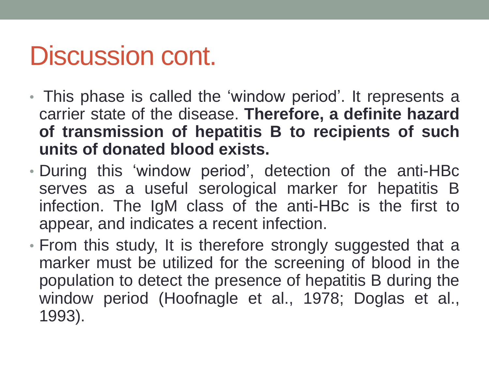### Discussion cont.

- This phase is called the 'window period'. It represents a carrier state of the disease. **Therefore, a definite hazard of transmission of hepatitis B to recipients of such units of donated blood exists.**
- During this 'window period', detection of the anti-HBc serves as a useful serological marker for hepatitis B infection. The IgM class of the anti-HBc is the first to appear, and indicates a recent infection.
- From this study, It is therefore strongly suggested that a marker must be utilized for the screening of blood in the population to detect the presence of hepatitis B during the window period (Hoofnagle et al., 1978; Doglas et al., 1993).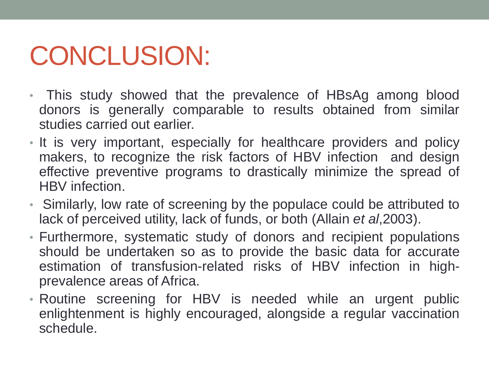# CONCLUSION:

- This study showed that the prevalence of HBsAg among blood donors is generally comparable to results obtained from similar studies carried out earlier.
- It is very important, especially for healthcare providers and policy makers, to recognize the risk factors of HBV infection and design effective preventive programs to drastically minimize the spread of HBV infection.
- Similarly, low rate of screening by the populace could be attributed to lack of perceived utility, lack of funds, or both (Allain *et al*,2003).
- Furthermore, systematic study of donors and recipient populations should be undertaken so as to provide the basic data for accurate estimation of transfusion-related risks of HBV infection in highprevalence areas of Africa.
- Routine screening for HBV is needed while an urgent public enlightenment is highly encouraged, alongside a regular vaccination schedule.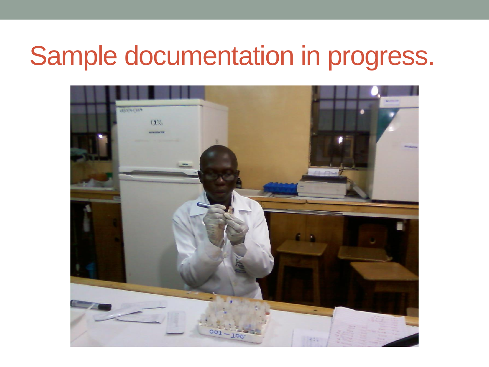### Sample documentation in progress.

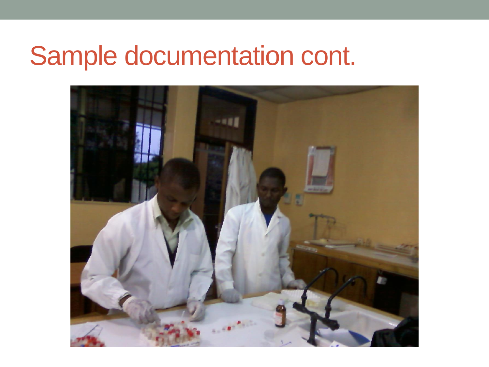### Sample documentation cont.

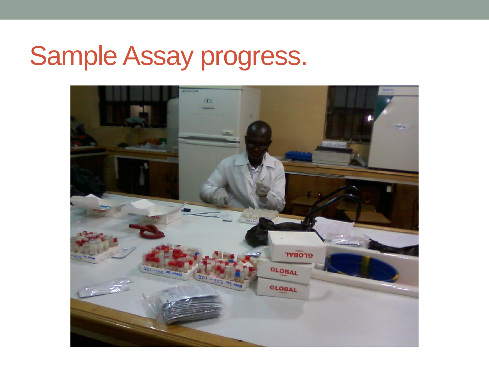# Sample Assay progress.

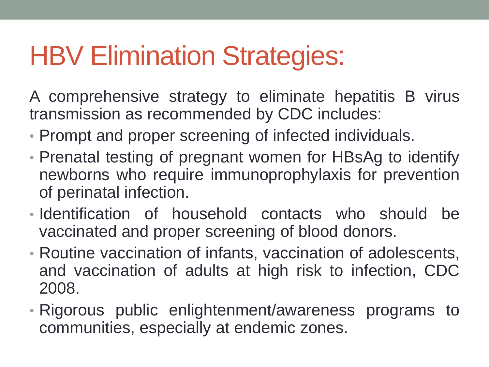### **HBV Elimination Strategies:**

A comprehensive strategy to eliminate hepatitis B virus transmission as recommended by CDC includes:

- Prompt and proper screening of infected individuals.
- Prenatal testing of pregnant women for HBsAg to identify newborns who require immunoprophylaxis for prevention of perinatal infection.
- Identification of household contacts who should be vaccinated and proper screening of blood donors.
- Routine vaccination of infants, vaccination of adolescents, and vaccination of adults at high risk to infection, CDC 2008.
- Rigorous public enlightenment/awareness programs to communities, especially at endemic zones.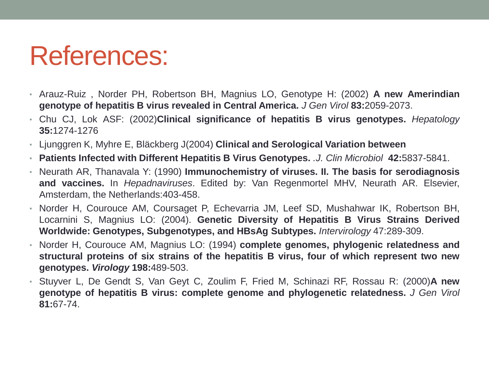### References:

- Arauz-Ruiz , Norder PH, Robertson BH, Magnius LO, Genotype H: (2002) **A new Amerindian genotype of hepatitis B virus revealed in Central America.** *J Gen Virol* **83:**2059-2073.
- Chu CJ, Lok ASF: (2002)**Clinical significance of hepatitis B virus genotypes.** *Hepatology* **35:**1274-1276
- Ljunggren K, Myhre E, Bläckberg J(2004) **Clinical and Serological Variation between**
- **Patients Infected with Different Hepatitis B Virus Genotypes.** *.J. Clin Microbiol* **42:**5837-5841.
- Neurath AR, Thanavala Y: (1990) **Immunochemistry of viruses. II. The basis for serodiagnosis and vaccines.** In *Hepadnaviruses*. Edited by: Van Regenmortel MHV, Neurath AR. Elsevier, Amsterdam, the Netherlands:403-458.
- Norder H, Courouce AM, Coursaget P, Echevarria JM, Leef SD, Mushahwar IK, Robertson BH, Locarnini S, Magnius LO: (2004). **Genetic Diversity of Hepatitis B Virus Strains Derived Worldwide: Genotypes, Subgenotypes, and HBsAg Subtypes.** *Intervirology* 47:289-309.
- Norder H, Courouce AM, Magnius LO: (1994) **complete genomes, phylogenic relatedness and structural proteins of six strains of the hepatitis B virus, four of which represent two new genotypes.** *Virology* **198:**489-503.
- Stuyver L, De Gendt S, Van Geyt C, Zoulim F, Fried M, Schinazi RF, Rossau R: (2000)**A new genotype of hepatitis B virus: complete genome and phylogenetic relatedness.** *J Gen Virol* **81:**67-74.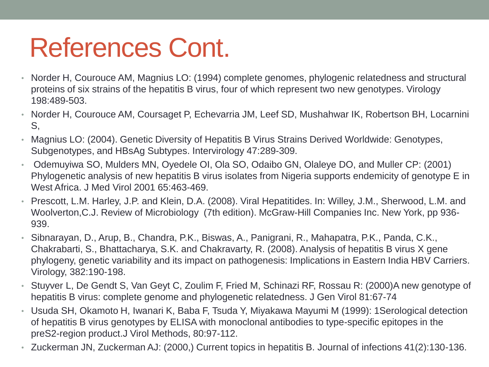### References Cont.

- Norder H, Courouce AM, Magnius LO: (1994) complete genomes, phylogenic relatedness and structural proteins of six strains of the hepatitis B virus, four of which represent two new genotypes. Virology 198:489-503.
- Norder H, Courouce AM, Coursaget P, Echevarria JM, Leef SD, Mushahwar IK, Robertson BH, Locarnini S,
- Magnius LO: (2004). Genetic Diversity of Hepatitis B Virus Strains Derived Worldwide: Genotypes, Subgenotypes, and HBsAg Subtypes. Intervirology 47:289-309.
- Odemuyiwa SO, Mulders MN, Oyedele OI, Ola SO, Odaibo GN, Olaleye DO, and Muller CP: (2001) Phylogenetic analysis of new hepatitis B virus isolates from Nigeria supports endemicity of genotype E in West Africa. J Med Virol 2001 65:463-469.
- Prescott, L.M. Harley, J.P. and Klein, D.A. (2008). Viral Hepatitides. In: Willey, J.M., Sherwood, L.M. and Woolverton,C.J. Review of Microbiology (7th edition). McGraw-Hill Companies Inc. New York, pp 936- 939.
- Sibnarayan, D., Arup, B., Chandra, P.K., Biswas, A., Panigrani, R., Mahapatra, P.K., Panda, C.K., Chakrabarti, S., Bhattacharya, S.K. and Chakravarty, R. (2008). Analysis of hepatitis B virus X gene phylogeny, genetic variability and its impact on pathogenesis: Implications in Eastern India HBV Carriers. Virology, 382:190-198.
- Stuyver L, De Gendt S, Van Geyt C, Zoulim F, Fried M, Schinazi RF, Rossau R: (2000)A new genotype of hepatitis B virus: complete genome and phylogenetic relatedness. J Gen Virol 81:67-74
- Usuda SH, Okamoto H, Iwanari K, Baba F, Tsuda Y, Miyakawa Mayumi M (1999): 1Serological detection of hepatitis B virus genotypes by ELISA with monoclonal antibodies to type-specific epitopes in the preS2-region product.J Virol Methods, 80:97-112.
- Zuckerman JN, Zuckerman AJ: (2000,) Current topics in hepatitis B. Journal of infections 41(2):130-136.